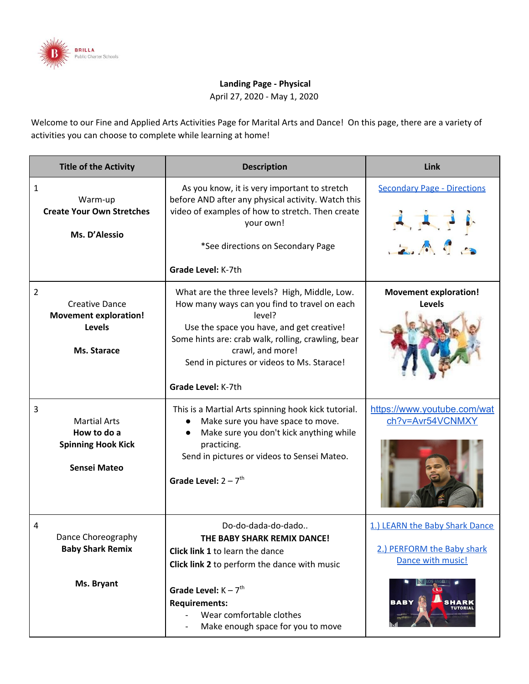

## **Landing Page - Physical**

April 27, 2020 - May 1, 2020

Welcome to our Fine and Applied Arts Activities Page for Marital Arts and Dance! On this page, there are a variety of activities you can choose to complete while learning at home!

| <b>Title of the Activity</b>                                                                | <b>Description</b>                                                                                                                                                                                                                                                                                 | Link                                                                              |
|---------------------------------------------------------------------------------------------|----------------------------------------------------------------------------------------------------------------------------------------------------------------------------------------------------------------------------------------------------------------------------------------------------|-----------------------------------------------------------------------------------|
| 1<br>Warm-up<br><b>Create Your Own Stretches</b><br>Ms. D'Alessio                           | As you know, it is very important to stretch<br>before AND after any physical activity. Watch this<br>video of examples of how to stretch. Then create<br>your own!<br>*See directions on Secondary Page<br>Grade Level: K-7th                                                                     | <b>Secondary Page - Directions</b><br>2A9                                         |
| 2<br><b>Creative Dance</b><br><b>Movement exploration!</b><br><b>Levels</b><br>Ms. Starace  | What are the three levels? High, Middle, Low.<br>How many ways can you find to travel on each<br>level?<br>Use the space you have, and get creative!<br>Some hints are: crab walk, rolling, crawling, bear<br>crawl, and more!<br>Send in pictures or videos to Ms. Starace!<br>Grade Level: K-7th | <b>Movement exploration!</b><br>Levels                                            |
| 3<br><b>Martial Arts</b><br>How to do a<br><b>Spinning Hook Kick</b><br><b>Sensei Mateo</b> | This is a Martial Arts spinning hook kick tutorial.<br>Make sure you have space to move.<br>Make sure you don't kick anything while<br>practicing.<br>Send in pictures or videos to Sensei Mateo.<br>Grade Level: $2 - 7$ <sup>th</sup>                                                            | https://www.youtube.com/wat<br>ch?v=Avr54VCNMXY                                   |
| 4<br>Dance Choreography<br><b>Baby Shark Remix</b><br>Ms. Bryant                            | Do-do-dada-do-dado<br>THE BABY SHARK REMIX DANCE!<br>Click link 1 to learn the dance<br>Click link 2 to perform the dance with music<br>Grade Level: $K - 7$ <sup>th</sup>                                                                                                                         | 1.) LEARN the Baby Shark Dance<br>2.) PERFORM the Baby shark<br>Dance with music! |
|                                                                                             | <b>Requirements:</b><br>Wear comfortable clothes<br>Make enough space for you to move                                                                                                                                                                                                              | <b>BABY</b>                                                                       |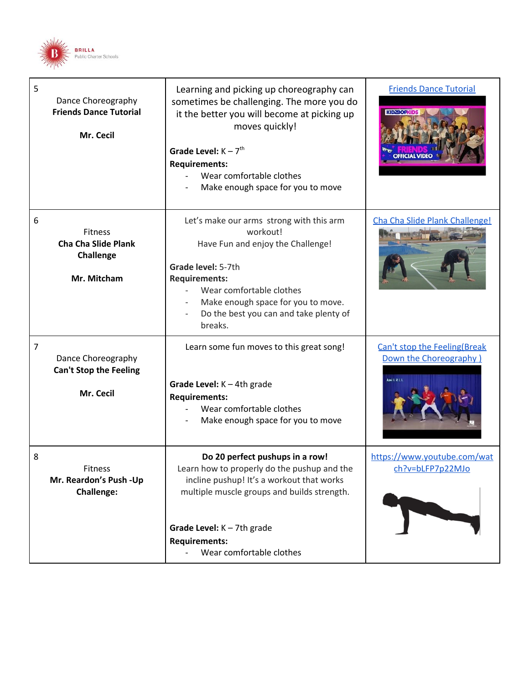

| 5              | Dance Choreography<br><b>Friends Dance Tutorial</b><br>Mr. Cecil                | Learning and picking up choreography can<br>sometimes be challenging. The more you do<br>it the better you will become at picking up<br>moves quickly!<br>Grade Level: $K - 7th$<br><b>Requirements:</b><br>Wear comfortable clothes<br>Make enough space for you to move | <b>Friends Dance Tutorial</b><br><b>KIDZBOPKID</b>                            |
|----------------|---------------------------------------------------------------------------------|---------------------------------------------------------------------------------------------------------------------------------------------------------------------------------------------------------------------------------------------------------------------------|-------------------------------------------------------------------------------|
| 6              | <b>Fitness</b><br><b>Cha Cha Slide Plank</b><br><b>Challenge</b><br>Mr. Mitcham | Let's make our arms strong with this arm<br>workout!<br>Have Fun and enjoy the Challenge!<br>Grade level: 5-7th<br><b>Requirements:</b><br>Wear comfortable clothes<br>Make enough space for you to move.<br>Do the best you can and take plenty of<br>breaks.            | Cha Cha Slide Plank Challenge!                                                |
| $\overline{7}$ | Dance Choreography<br><b>Can't Stop the Feeling</b><br>Mr. Cecil                | Learn some fun moves to this great song!<br>Grade Level: $K - 4th$ grade<br><b>Requirements:</b><br>Wear comfortable clothes<br>Make enough space for you to move                                                                                                         | Can't stop the Feeling(Break<br>Down the Choreography)<br><b>Axel L R L L</b> |
| 8              | Fitness<br>Mr. Reardon's Push -Up<br><b>Challenge:</b>                          | Do 20 perfect pushups in a row!<br>Learn how to properly do the pushup and the<br>incline pushup! It's a workout that works<br>multiple muscle groups and builds strength.<br>Grade Level: $K - 7th$ grade<br><b>Requirements:</b><br>Wear comfortable clothes            | https://www.youtube.com/wat<br>ch?v=bLFP7p22MJo                               |